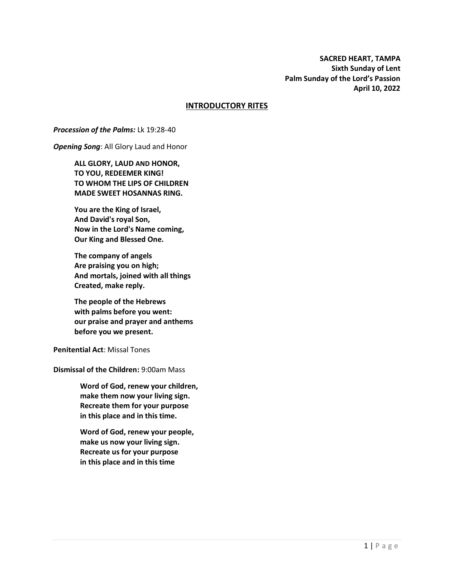**SACRED HEART, TAMPA Sixth Sunday of Lent Palm Sunday of the Lord's Passion April 10, 2022**

### **INTRODUCTORY RITES**

#### *Procession of the Palms:* Lk 19:28-40

*Opening Song*: All Glory Laud and Honor

**ALL GLORY, LAUD AND HONOR, TO YOU, REDEEMER KING! TO WHOM THE LIPS OF CHILDREN MADE SWEET HOSANNAS RING.**

**You are the King of Israel, And David's royal Son, Now in the Lord's Name coming, Our King and Blessed One.**

**The company of angels Are praising you on high; And mortals, joined with all things Created, make reply.**

**The people of the Hebrews with palms before you went: our praise and prayer and anthems before you we present.**

**Penitential Act**: Missal Tones

**Dismissal of the Children:** 9:00am Mass

**Word of God, renew your children, make them now your living sign. Recreate them for your purpose in this place and in this time.**

**Word of God, renew your people, make us now your living sign. Recreate us for your purpose in this place and in this time**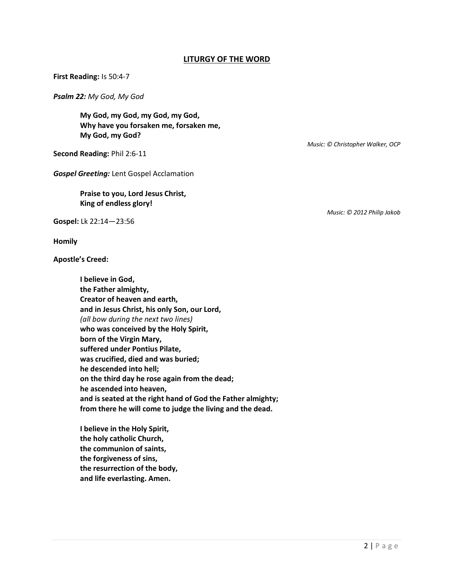## **LITURGY OF THE WORD**

**First Reading:** Is 50:4-7

*Psalm 22: My God, My God*

**My God, my God, my God, my God, Why have you forsaken me, forsaken me, My God, my God?**

**Second Reading:** Phil 2:6-11

*Gospel Greeting:* Lent Gospel Acclamation

**Praise to you, Lord Jesus Christ, King of endless glory!**

**Gospel:** Lk 22:14—23:56

**Homily**

**Apostle's Creed:**

**I believe in God, the Father almighty, Creator of heaven and earth, and in Jesus Christ, his only Son, our Lord,** *(all bow during the next two lines)* **who was conceived by the Holy Spirit, born of the Virgin Mary, suffered under Pontius Pilate, was crucified, died and was buried; he descended into hell; on the third day he rose again from the dead; he ascended into heaven, and is seated at the right hand of God the Father almighty; from there he will come to judge the living and the dead.**

**I believe in the Holy Spirit, the holy catholic Church, the communion of saints, the forgiveness of sins, the resurrection of the body, and life everlasting. Amen.**

*Music: © Christopher Walker, OCP*

*Music: © 2012 Philip Jakob*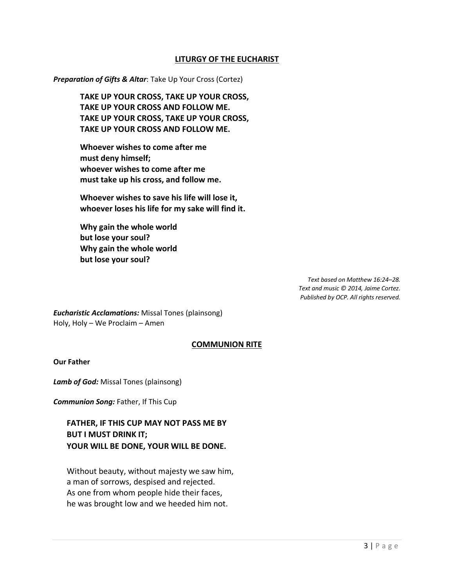## **LITURGY OF THE EUCHARIST**

*Preparation of Gifts & Altar*: Take Up Your Cross (Cortez)

**TAKE UP YOUR CROSS, TAKE UP YOUR CROSS, TAKE UP YOUR CROSS AND FOLLOW ME. TAKE UP YOUR CROSS, TAKE UP YOUR CROSS, TAKE UP YOUR CROSS AND FOLLOW ME.** 

**Whoever wishes to come after me must deny himself; whoever wishes to come after me must take up his cross, and follow me.**

**Whoever wishes to save his life will lose it, whoever loses his life for my sake will find it.** 

**Why gain the whole world but lose your soul? Why gain the whole world but lose your soul?**

> *Text based on Matthew 16:24–28. Text and music © 2014, Jaime Cortez. Published by OCP. All rights reserved.*

*Eucharistic Acclamations:* Missal Tones (plainsong) Holy, Holy – We Proclaim – Amen

## **COMMUNION RITE**

#### **Our Father**

*Lamb of God:* Missal Tones (plainsong)

*Communion Song:* Father, If This Cup

**FATHER, IF THIS CUP MAY NOT PASS ME BY BUT I MUST DRINK IT; YOUR WILL BE DONE, YOUR WILL BE DONE.**

Without beauty, without majesty we saw him, a man of sorrows, despised and rejected. As one from whom people hide their faces, he was brought low and we heeded him not.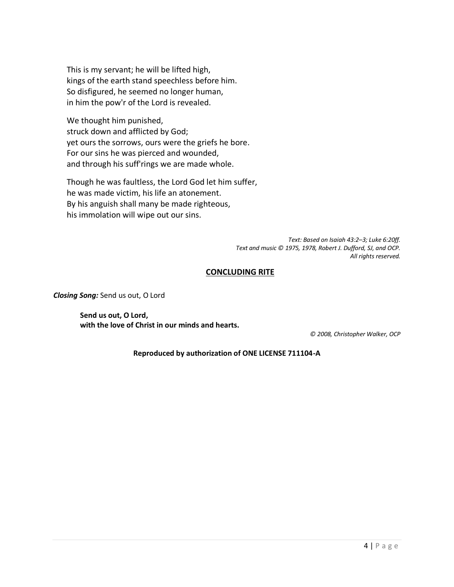This is my servant; he will be lifted high, kings of the earth stand speechless before him. So disfigured, he seemed no longer human, in him the pow'r of the Lord is revealed.

We thought him punished, struck down and afflicted by God; yet ours the sorrows, ours were the griefs he bore. For our sins he was pierced and wounded, and through his suff'rings we are made whole.

Though he was faultless, the Lord God let him suffer, he was made victim, his life an atonement. By his anguish shall many be made righteous, his immolation will wipe out our sins.

> *Text: Based on Isaiah 43:2–3; Luke 6:20ff. Text and music © 1975, 1978, Robert J. Dufford, SJ, and OCP. All rights reserved.*

## **CONCLUDING RITE**

*Closing Song:* Send us out, O Lord

**Send us out, O Lord, with the love of Christ in our minds and hearts.**

*© 2008, Christopher Walker, OCP*

**Reproduced by authorization of ONE LICENSE 711104-A**